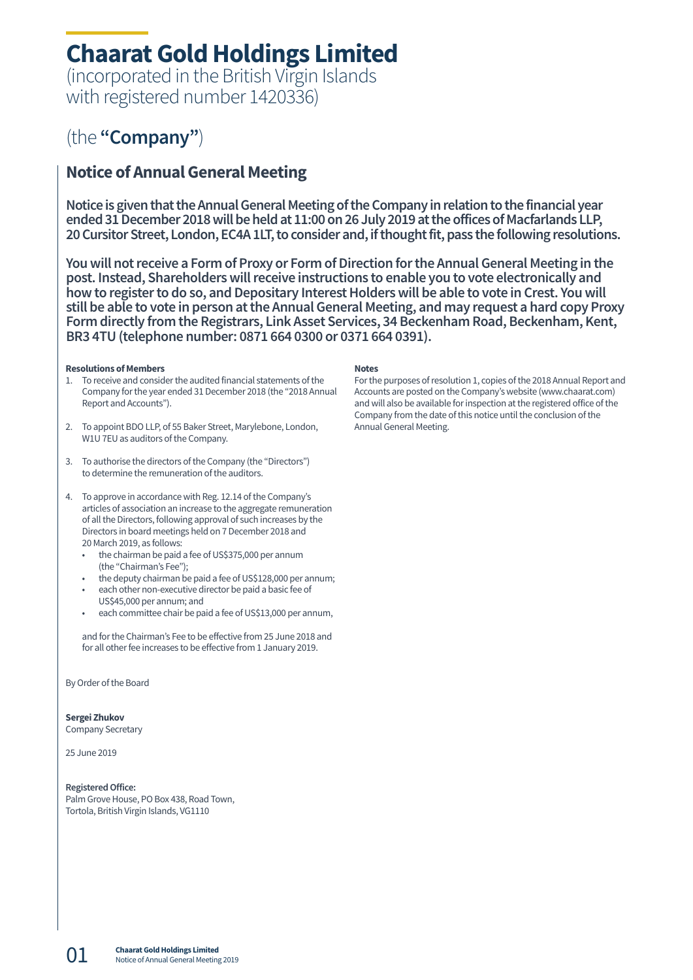## **Chaarat Gold Holdings Limited**

(incorporated in the British Virgin Islands with registered number 1420336)

### (the **"Company"**)

### **Notice of Annual General Meeting**

**Notice is given that the Annual General Meeting of the Company in relation to the financial year ended 31 December 2018 will be held at 11:00 on 26 July 2019 at the offices of Macfarlands LLP, 20 Cursitor Street, London, EC4A 1LT, to consider and, if thought fit, pass the following resolutions.** 

**You will not receive a Form of Proxy or Form of Direction for the Annual General Meeting in the post. Instead, Shareholders will receive instructions to enable you to vote electronically and how to register to do so, and Depositary Interest Holders will be able to vote in Crest. You will still be able to vote in person at the Annual General Meeting, and may request a hard copy Proxy Form directly from the Registrars, Link Asset Services, 34 Beckenham Road, Beckenham, Kent, BR3 4TU (telephone number: 0871 664 0300 or 0371 664 0391).** 

#### **Resolutions of Members**

- 1. To receive and consider the audited financial statements of the Company for the year ended 31 December 2018 (the "2018 Annual Report and Accounts").
- 2. To appoint BDO LLP, of 55 Baker Street, Marylebone, London, W1U 7EU as auditors of the Company.
- 3. To authorise the directors of the Company (the "Directors") to determine the remuneration of the auditors.
- 4. To approve in accordance with Reg. 12.14 of the Company's articles of association an increase to the aggregate remuneration of all the Directors, following approval of such increases by the Directors in board meetings held on 7 December 2018 and 20 March 2019, as follows:
	- the chairman be paid a fee of US\$375,000 per annum (the "Chairman's Fee");
	- the deputy chairman be paid a fee of US\$128,000 per annum;
	- each other non-executive director be paid a basic fee of US\$45,000 per annum; and
	- each committee chair be paid a fee of US\$13,000 per annum,

and for the Chairman's Fee to be effective from 25 June 2018 and for all other fee increases to be effective from 1 January 2019.

By Order of the Board

#### **Sergei Zhukov**

Company Secretary

25 June 2019

01

#### **Registered Office:**

Palm Grove House, PO Box 438, Road Town, Tortola, British Virgin Islands, VG1110

#### **Notes**

For the purposes of resolution 1, copies of the 2018 Annual Report and Accounts are posted on the Company's website (www.chaarat.com) and will also be available for inspection at the registered office of the Company from the date of this notice until the conclusion of the Annual General Meeting.